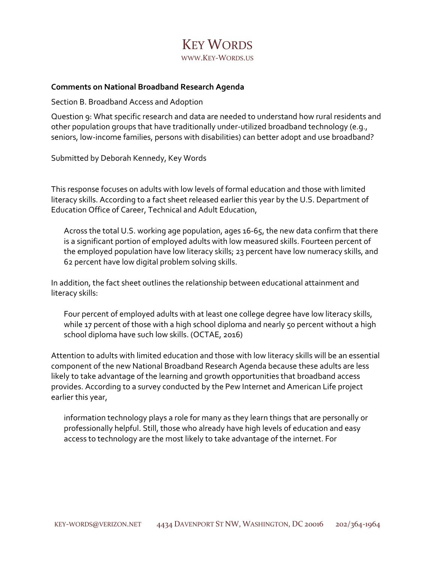## KEY WORDS WWW.KEY-WORDS.US

## **Comments on National Broadband Research Agenda**

Section B. Broadband Access and Adoption

Question 9: What specific research and data are needed to understand how rural residents and other population groups that have traditionally under-utilized broadband technology (e.g., seniors, low-income families, persons with disabilities) can better adopt and use broadband?

Submitted by Deborah Kennedy, Key Words

This response focuses on adults with low levels of formal education and those with limited literacy skills. According to a fact sheet released earlier this year by the U.S. Department of Education Office of Career, Technical and Adult Education,

Across the total U.S. working age population, ages 16-65, the new data confirm that there is a significant portion of employed adults with low measured skills. Fourteen percent of the employed population have low literacy skills; 23 percent have low numeracy skills, and 62 percent have low digital problem solving skills.

In addition, the fact sheet outlines the relationship between educational attainment and literacy skills:

Four percent of employed adults with at least one college degree have low literacy skills, while 17 percent of those with a high school diploma and nearly 50 percent without a high school diploma have such low skills. (OCTAE, 2016)

Attention to adults with limited education and those with low literacy skills will be an essential component of the new National Broadband Research Agenda because these adults are less likely to take advantage of the learning and growth opportunities that broadband access provides. According to a survey conducted by the Pew Internet and American Life project earlier this year,

information technology plays a role for many as they learn things that are personally or professionally helpful. Still, those who already have high levels of education and easy access to technology are the most likely to take advantage of the internet. For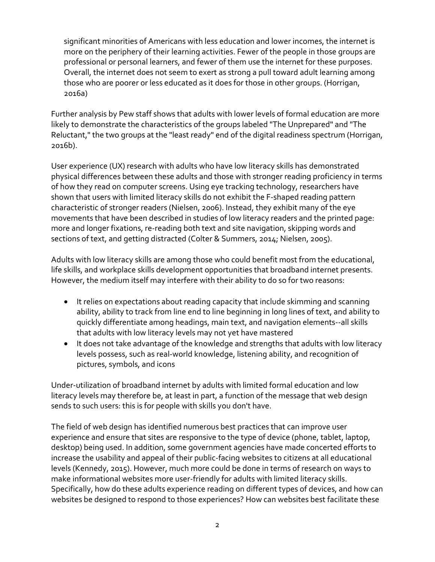significant minorities of Americans with less education and lower incomes, the internet is more on the periphery of their learning activities. Fewer of the people in those groups are professional or personal learners, and fewer of them use the internet for these purposes. Overall, the internet does not seem to exert as strong a pull toward adult learning among those who are poorer or less educated as it does for those in other groups. (Horrigan, 2016a)

Further analysis by Pew staff shows that adults with lower levels of formal education are more likely to demonstrate the characteristics of the groups labeled "The Unprepared" and "The Reluctant," the two groups at the "least ready" end of the digital readiness spectrum (Horrigan, 2016b).

User experience (UX) research with adults who have low literacy skills has demonstrated physical differences between these adults and those with stronger reading proficiency in terms of how they read on computer screens. Using eye tracking technology, researchers have shown that users with limited literacy skills do not exhibit the F-shaped reading pattern characteristic of stronger readers (Nielsen, 2006). Instead, they exhibit many of the eye movements that have been described in studies of low literacy readers and the printed page: more and longer fixations, re-reading both text and site navigation, skipping words and sections of text, and getting distracted (Colter & Summers, 2014; Nielsen, 2005).

Adults with low literacy skills are among those who could benefit most from the educational, life skills, and workplace skills development opportunities that broadband internet presents. However, the medium itself may interfere with their ability to do so for two reasons:

- It relies on expectations about reading capacity that include skimming and scanning ability, ability to track from line end to line beginning in long lines of text, and ability to quickly differentiate among headings, main text, and navigation elements--all skills that adults with low literacy levels may not yet have mastered
- It does not take advantage of the knowledge and strengths that adults with low literacy levels possess, such as real-world knowledge, listening ability, and recognition of pictures, symbols, and icons

Under-utilization of broadband internet by adults with limited formal education and low literacy levels may therefore be, at least in part, a function of the message that web design sends to such users: this is for people with skills you don't have.

The field of web design has identified numerous best practices that can improve user experience and ensure that sites are responsive to the type of device (phone, tablet, laptop, desktop) being used. In addition, some government agencies have made concerted efforts to increase the usability and appeal of their public-facing websites to citizens at all educational levels (Kennedy, 2015). However, much more could be done in terms of research on ways to make informational websites more user-friendly for adults with limited literacy skills. Specifically, how do these adults experience reading on different types of devices, and how can websites be designed to respond to those experiences? How can websites best facilitate these